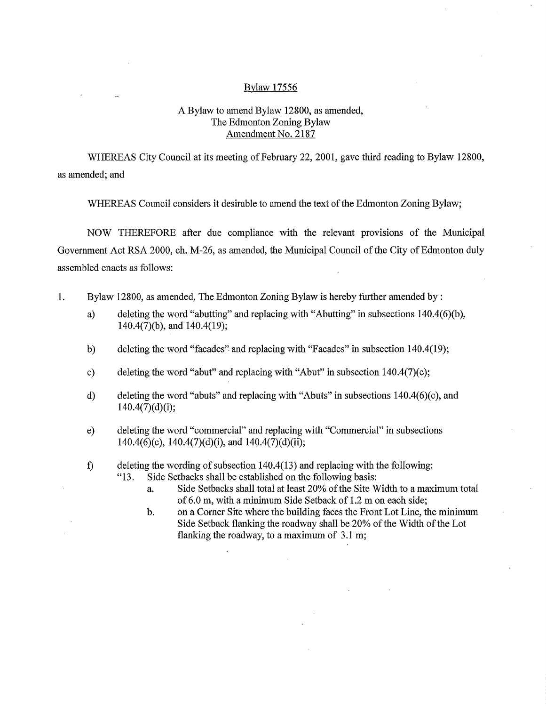## Bylaw 17556

## A Bylaw to amend Bylaw 12800, as amended, The Edmonton Zoning Bylaw Amendment No. 2187

WHEREAS City Council at its meeting of February 22, 2001, gave third reading to Bylaw 12800, as amended; and

WHEREAS Council considers it desirable to amend the text of the Edmonton Zoning Bylaw;

NOW THEREFORE after due compliance with the relevant provisions of the Municipal Government Act RSA 2000, ch. M-26, as amended, the Municipal Council of the City of Edmonton duly assembled enacts as follows:

- 1. Bylaw 12800, as amended, The Edmonton Zoning Bylaw is hereby further amended by:
	- a) deleting the word "abutting" and replacing with "Abutting" in subsections 140.4(6)(b), 140.4(7)(b), and 140.4(19);
	- b) deleting the word "facades" and replacing with "Facades" in subsection 140.4(19);
	- c) deleting the word "abut" and replacing with "Abut" in subsection 140.4(7)(c);
	- d) deleting the word "abuts" and replacing with "Abuts" in subsections 140.4(6)(c), and 140.4(7)(d)(i);
	- e) deleting the word "commercial" and replacing with "Commercial" in subsections  $140.4(6)(c)$ ,  $140.4(7)(d)(i)$ , and  $140.4(7)(d)(ii)$ ;
	- f) deleting the wording of subsection  $140.4(13)$  and replacing with the following:<br>"13. Side Setbacks shall be established on the following basis: Side Setbacks shall be established on the following basis:
		- a. Side Setbacks shall total at least 20% of the Site Width to a maximum total of 6.0 m, with a minimum Side Setback of 1.2 m on each side;
		- b. on a Corner Site where the building faces the Front Lot Line, the minimum Side Setback flanking the roadway shall be 20% of the Width of the Lot flanking the roadway, to a maximum of 3.1 m;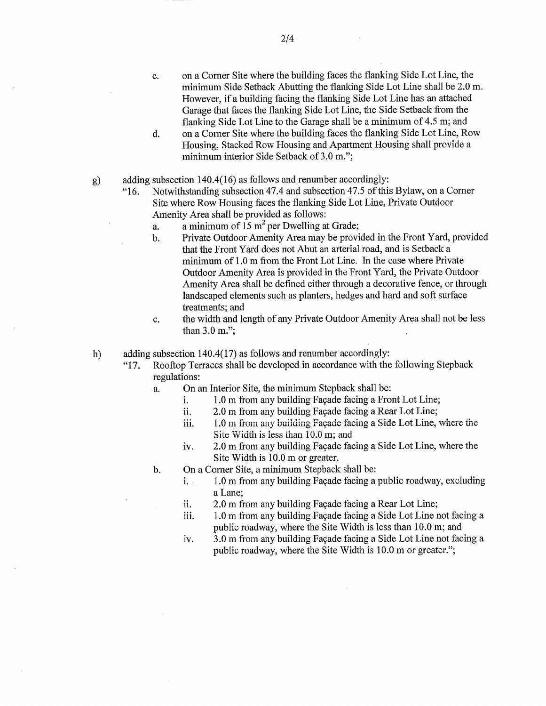- c. on a Corner Site where the building faces the flanking Side Lot Line, the minimum Side Setback Abutting the flanking Side Lot Line shall be 2.0 m. However, if a building facing the flanking Side Lot Line has an attached Garage that faces the flanking Side Lot Line, the Side Setback from the flanking Side Lot Line to the Garage shall be a minimum of 4.5 m; and
- d. on a Comer Site where the building faces the flanking Side Lot Line, Row Housing, Stacked Row Housing and Apartment Housing shall provide a minimum interior Side Setback of 3.0 m.";

adding subsection 140.4(16) as follows and renumber accordingly:  $g)$ 

"16. Notwithstanding subsection 47.4 and subsection 47.5 of this Bylaw, on a Corner Site where Row Housing faces the flanking Side Lot Line, Private Outdoor Amenity Area shall be provided as follows:

- a. a minimum of  $15 \text{ m}^2$  per Dwelling at Grade;
- b. Private Outdoor Amenity Area may be provided in the Front Yard, provided that the Front Yard does not Abut an arterial road, and is Setback a minimum of 1.0 m from the Front Lot Line. In the case where Private Outdoor Amenity Area is provided in the Front Yard, the Private Outdoor Amenity Area shall be defined either through a decorative fence, or through landscaped elements such as planters, hedges and hard and soft surface treatments; and
- c. the width and length of any Private Outdoor Amenity Area shall not be less than 3.0 m.";
- h) adding subsection 140.4(17) as follows and renumber accordingly:
	- "17. Rooftop Terraces shall be developed in accordance with the following Stepback regulations:
		- a. On an Interior Site, the minimum Stepback shall be:
			- i. 1.0 m from any building Façade facing a Front Lot Line;
			- ii. 2.0 m from any building Façade facing a Rear Lot Line;
			- 1.0 m from any building Facade facing a Side Lot Line, where the iii. Site Width is less than 10.0 m; and
			- iv. 2.0 m from any building Façade facing a Side Lot Line, where the Site Width is 10.0 m or greater.
		- b. On a Corner Site, a minimum Stepback shall be:
			- i. 1.0 m from any building Façade facing a public roadway, excluding a Lane;
			- 2.0 m from any building Façade facing a Rear Lot Line; ii.
			- 1.0 m from any building Façade facing a Side Lot Line not facing a iii. public roadway, where the Site Width is less than 10.0 m; and
			- iv. 3.0 m from any building Façade facing a Side Lot Line not facing a public roadway, where the Site Width is 10.0 m or greater.";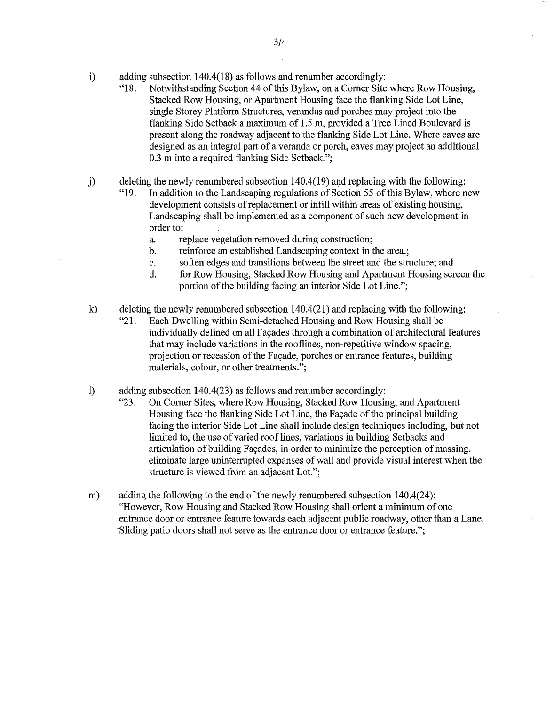- i) adding subsection 140.4(18) as follows and renumber accordingly:
	- "18. Notwithstanding Section 44 of this Bylaw, on a Corner Site where Row Housing, Stacked Row Housing, or Apartment Housing face the flanking Side Lot Line, single Storey Platform Structures, verandas and porches may project into the flanking Side Setback a maximum of 1.5 m, provided a Tree Lined Boulevard is present along the roadway adjacent to the flanking Side Lot Line. Where eaves are designed as an integral part of a veranda or porch, eaves may project an additional 0.3 m into a required flanking Side Setback.";
- j) deleting the newly renumbered subsection 140.4(19) and replacing with the following:<br>"19. In addition to the Landscaping regulations of Section 55 of this Bylaw, where r
	- In addition to the Landscaping regulations of Section 55 of this Bylaw, where new development consists of replacement or infill within areas of existing housing, Landscaping shall be implemented as a component of such new development in order to:
		- a. replace vegetation removed during construction;
		- b. reinforce an established Landscaping context in the area.;
		- c. soften edges and transitions between the street and the structure; and
		- d. for Row Housing, Stacked Row Housing and Apartment Housing screen the portion of the building facing an interior Side Lot Line.";
- k) deleting the newly renumbered subsection 140.4(21) and replacing with the following: "21. Each Dwelling within Semi-detached Housing and Row Housing shall be individually defined on all Façades through a combination of architectural features that may include variations in the rooflines, non-repetitive window spacing, projection or recession of the Façade, porches or entrance features, building materials, colour, or other treatments.";
- 1) adding subsection 140.4(23) as follows and renumber accordingly:
	- "23. On Corner Sites, where Row Housing, Stacked Row Housing, and Apartment Housing face the flanking Side Lot Line, the Façade of the principal building facing the interior Side Lot Line shall include design techniques including, but not limited to, the use of varied roof lines, variations in building Setbacks and articulation of building Façades, in order to minimize the perception of massing, eliminate large uninterrupted expanses of wall and provide visual interest when the structure is viewed from an adjacent Lot.";
- m) adding the following to the end of the newly renumbered subsection 140.4(24): "However, Row Housing and Stacked Row Housing shall orient a minimum of one entrance door or entrance feature towards each adjacent public roadway, other than a Lane. Sliding patio doors shall not serve as the entrance door or entrance feature.";